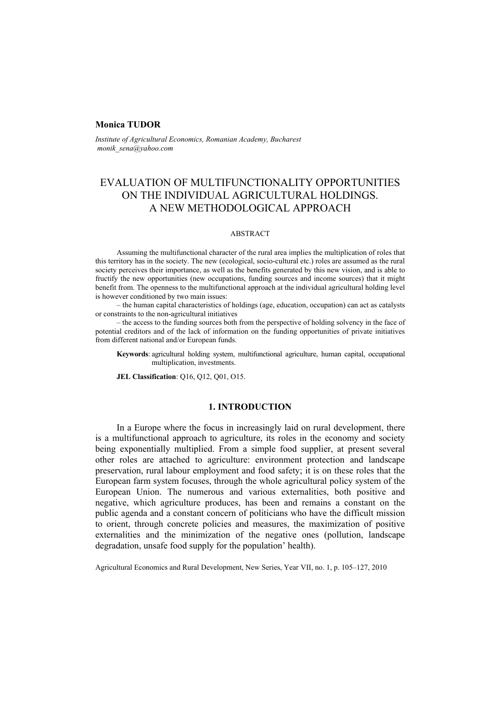# **Monica TUDOR**

*Institute of Agricultural Economics, Romanian Academy, Bucharest monik\_sena@yahoo.com*

# EVALUATION OF MULTIFUNCTIONALITY OPPORTUNITIES ON THE INDIVIDUAL AGRICULTURAL HOLDINGS. A NEW METHODOLOGICAL APPROACH

## ABSTRACT

Assuming the multifunctional character of the rural area implies the multiplication of roles that this territory has in the society. The new (ecological, socio-cultural etc.) roles are assumed as the rural society perceives their importance, as well as the benefits generated by this new vision, and is able to fructify the new opportunities (new occupations, funding sources and income sources) that it might benefit from. The openness to the multifunctional approach at the individual agricultural holding level is however conditioned by two main issues:

– the human capital characteristics of holdings (age, education, occupation) can act as catalysts or constraints to the non-agricultural initiatives

– the access to the funding sources both from the perspective of holding solvency in the face of potential creditors and of the lack of information on the funding opportunities of private initiatives from different national and/or European funds.

**Keywords**: agricultural holding system, multifunctional agriculture, human capital, occupational multiplication, investments.

**JEL Classification**: Q16, Q12, Q01, O15.

## **1. INTRODUCTION**

In a Europe where the focus in increasingly laid on rural development, there is a multifunctional approach to agriculture, its roles in the economy and society being exponentially multiplied. From a simple food supplier, at present several other roles are attached to agriculture: environment protection and landscape preservation, rural labour employment and food safety; it is on these roles that the European farm system focuses, through the whole agricultural policy system of the European Union. The numerous and various externalities, both positive and negative, which agriculture produces, has been and remains a constant on the public agenda and a constant concern of politicians who have the difficult mission to orient, through concrete policies and measures, the maximization of positive externalities and the minimization of the negative ones (pollution, landscape degradation, unsafe food supply for the population' health).

Agricultural Economics and Rural Development, New Series, Year VII, no. 1, p. 105–127, 2010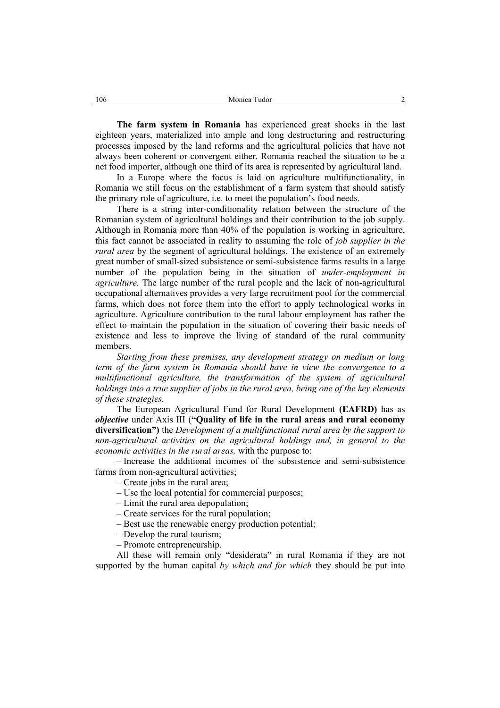**The farm system in Romania** has experienced great shocks in the last eighteen years, materialized into ample and long destructuring and restructuring processes imposed by the land reforms and the agricultural policies that have not always been coherent or convergent either. Romania reached the situation to be a net food importer, although one third of its area is represented by agricultural land.

In a Europe where the focus is laid on agriculture multifunctionality, in Romania we still focus on the establishment of a farm system that should satisfy the primary role of agriculture, i.e. to meet the population's food needs.

There is a string inter-conditionality relation between the structure of the Romanian system of agricultural holdings and their contribution to the job supply. Although in Romania more than 40% of the population is working in agriculture, this fact cannot be associated in reality to assuming the role of *job supplier in the rural area* by the segment of agricultural holdings. The existence of an extremely great number of small-sized subsistence or semi-subsistence farms results in a large number of the population being in the situation of *under-employment in agriculture.* The large number of the rural people and the lack of non-agricultural occupational alternatives provides a very large recruitment pool for the commercial farms, which does not force them into the effort to apply technological works in agriculture. Agriculture contribution to the rural labour employment has rather the effect to maintain the population in the situation of covering their basic needs of existence and less to improve the living of standard of the rural community members.

*Starting from these premises, any development strategy on medium or long term of the farm system in Romania should have in view the convergence to a multifunctional agriculture, the transformation of the system of agricultural holdings into a true supplier of jobs in the rural area, being one of the key elements of these strategies.* 

The European Agricultural Fund for Rural Development **(EAFRD)** has as *objective* under Axis III (**"Quality of life in the rural areas and rural economy diversification")** the *Development of a multifunctional rural area by the support to non-agricultural activities on the agricultural holdings and, in general to the economic activities in the rural areas,* with the purpose to:

– Increase the additional incomes of the subsistence and semi-subsistence farms from non-agricultural activities;

– Create jobs in the rural area;

- Use the local potential for commercial purposes;
- Limit the rural area depopulation;
- Create services for the rural population;
- Best use the renewable energy production potential;
- Develop the rural tourism;
- Promote entrepreneurship.

All these will remain only "desiderata" in rural Romania if they are not supported by the human capital *by which and for which* they should be put into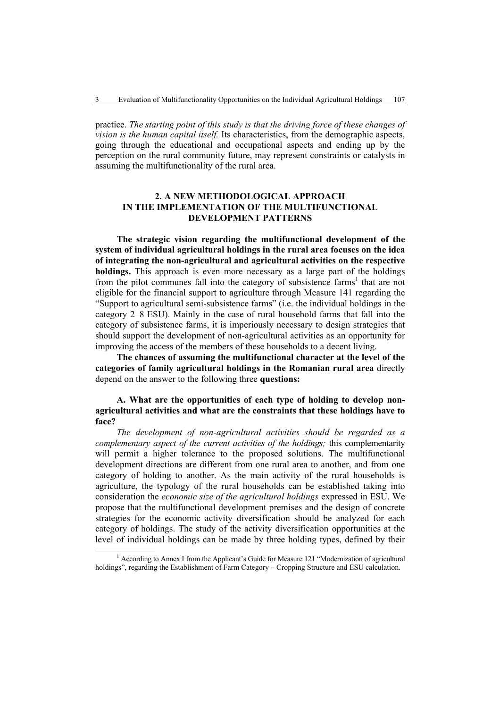practice. *The starting point of this study is that the driving force of these changes of vision is the human capital itself.* Its characteristics, from the demographic aspects, going through the educational and occupational aspects and ending up by the perception on the rural community future, may represent constraints or catalysts in assuming the multifunctionality of the rural area.

# **2. A NEW METHODOLOGICAL APPROACH IN THE IMPLEMENTATION OF THE MULTIFUNCTIONAL DEVELOPMENT PATTERNS**

**The strategic vision regarding the multifunctional development of the system of individual agricultural holdings in the rural area focuses on the idea of integrating the non-agricultural and agricultural activities on the respective holdings.** This approach is even more necessary as a large part of the holdings from the pilot communes fall into the category of subsistence farms<sup>1</sup> that are not eligible for the financial support to agriculture through Measure 141 regarding the "Support to agricultural semi-subsistence farms" (i.e. the individual holdings in the category 2–8 ESU). Mainly in the case of rural household farms that fall into the category of subsistence farms, it is imperiously necessary to design strategies that should support the development of non-agricultural activities as an opportunity for improving the access of the members of these households to a decent living.

**The chances of assuming the multifunctional character at the level of the categories of family agricultural holdings in the Romanian rural area** directly depend on the answer to the following three **questions:** 

# **A. What are the opportunities of each type of holding to develop nonagricultural activities and what are the constraints that these holdings have to face?**

*The development of non-agricultural activities should be regarded as a complementary aspect of the current activities of the holdings;* this complementarity will permit a higher tolerance to the proposed solutions. The multifunctional development directions are different from one rural area to another, and from one category of holding to another. As the main activity of the rural households is agriculture, the typology of the rural households can be established taking into consideration the *economic size of the agricultural holdings* expressed in ESU. We propose that the multifunctional development premises and the design of concrete strategies for the economic activity diversification should be analyzed for each category of holdings. The study of the activity diversification opportunities at the level of individual holdings can be made by three holding types, defined by their

 $\overline{\phantom{a}}$  $^{1}$  According to Annex I from the Applicant's Guide for Measure 121 "Modernization of agricultural holdings", regarding the Establishment of Farm Category – Cropping Structure and ESU calculation.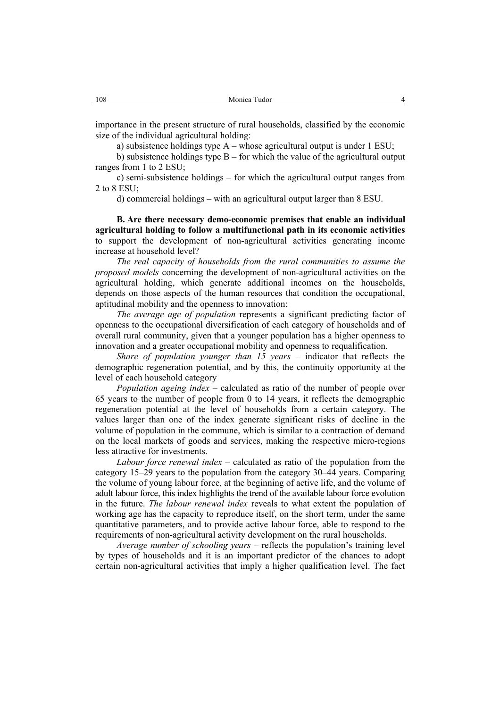importance in the present structure of rural households, classified by the economic size of the individual agricultural holding:

a) subsistence holdings type A – whose agricultural output is under 1 ESU;

b) subsistence holdings type  $B$  – for which the value of the agricultural output ranges from 1 to 2 ESU;

c) semi-subsistence holdings – for which the agricultural output ranges from 2 to 8 ESU;

d) commercial holdings – with an agricultural output larger than 8 ESU.

**B. Are there necessary demo-economic premises that enable an individual agricultural holding to follow a multifunctional path in its economic activities**  to support the development of non-agricultural activities generating income increase at household level?

*The real capacity of households from the rural communities to assume the proposed models* concerning the development of non-agricultural activities on the agricultural holding, which generate additional incomes on the households, depends on those aspects of the human resources that condition the occupational, aptitudinal mobility and the openness to innovation:

*The average age of population* represents a significant predicting factor of openness to the occupational diversification of each category of households and of overall rural community, given that a younger population has a higher openness to innovation and a greater occupational mobility and openness to requalification.

*Share of population younger than 15 years –* indicator that reflects the demographic regeneration potential, and by this, the continuity opportunity at the level of each household category

*Population ageing index* – calculated as ratio of the number of people over 65 years to the number of people from 0 to 14 years, it reflects the demographic regeneration potential at the level of households from a certain category. The values larger than one of the index generate significant risks of decline in the volume of population in the commune, which is similar to a contraction of demand on the local markets of goods and services, making the respective micro-regions less attractive for investments.

*Labour force renewal index* – calculated as ratio of the population from the category 15–29 years to the population from the category 30–44 years. Comparing the volume of young labour force, at the beginning of active life, and the volume of adult labour force, this index highlights the trend of the available labour force evolution in the future. *The labour renewal index* reveals to what extent the population of working age has the capacity to reproduce itself, on the short term, under the same quantitative parameters, and to provide active labour force, able to respond to the requirements of non-agricultural activity development on the rural households.

*Average number of schooling years* – reflects the population's training level by types of households and it is an important predictor of the chances to adopt certain non-agricultural activities that imply a higher qualification level. The fact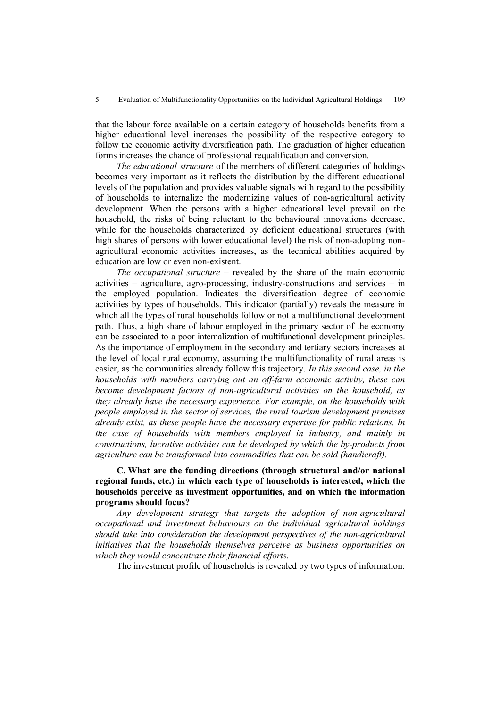that the labour force available on a certain category of households benefits from a higher educational level increases the possibility of the respective category to follow the economic activity diversification path. The graduation of higher education forms increases the chance of professional requalification and conversion.

*The educational structure* of the members of different categories of holdings becomes very important as it reflects the distribution by the different educational levels of the population and provides valuable signals with regard to the possibility of households to internalize the modernizing values of non-agricultural activity development. When the persons with a higher educational level prevail on the household, the risks of being reluctant to the behavioural innovations decrease, while for the households characterized by deficient educational structures (with high shares of persons with lower educational level) the risk of non-adopting nonagricultural economic activities increases, as the technical abilities acquired by education are low or even non-existent.

*The occupational structure –* revealed by the share of the main economic activities – agriculture, agro-processing, industry-constructions and services – in the employed population. Indicates the diversification degree of economic activities by types of households. This indicator (partially) reveals the measure in which all the types of rural households follow or not a multifunctional development path. Thus, a high share of labour employed in the primary sector of the economy can be associated to a poor internalization of multifunctional development principles. As the importance of employment in the secondary and tertiary sectors increases at the level of local rural economy, assuming the multifunctionality of rural areas is easier, as the communities already follow this trajectory. *In this second case, in the households with members carrying out an off-farm economic activity, these can become development factors of non-agricultural activities on the household, as they already have the necessary experience. For example, on the households with people employed in the sector of services, the rural tourism development premises already exist, as these people have the necessary expertise for public relations. In the case of households with members employed in industry, and mainly in constructions, lucrative activities can be developed by which the by-products from agriculture can be transformed into commodities that can be sold (handicraft).* 

# **C. What are the funding directions (through structural and/or national regional funds, etc.) in which each type of households is interested, which the households perceive as investment opportunities, and on which the information programs should focus?**

*Any development strategy that targets the adoption of non-agricultural occupational and investment behaviours on the individual agricultural holdings should take into consideration the development perspectives of the non-agricultural initiatives that the households themselves perceive as business opportunities on which they would concentrate their financial efforts.* 

The investment profile of households is revealed by two types of information: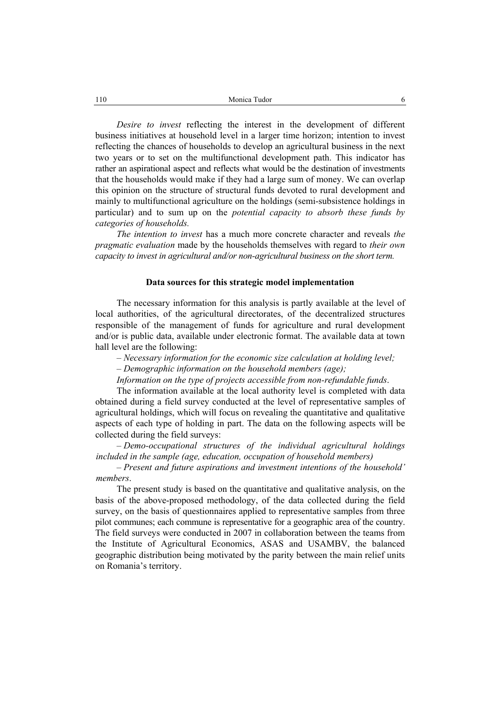*Desire to invest* reflecting the interest in the development of different business initiatives at household level in a larger time horizon; intention to invest reflecting the chances of households to develop an agricultural business in the next two years or to set on the multifunctional development path. This indicator has rather an aspirational aspect and reflects what would be the destination of investments that the households would make if they had a large sum of money. We can overlap this opinion on the structure of structural funds devoted to rural development and mainly to multifunctional agriculture on the holdings (semi-subsistence holdings in particular) and to sum up on the *potential capacity to absorb these funds by categories of households.*

*The intention to invest* has a much more concrete character and reveals *the pragmatic evaluation* made by the households themselves with regard to *their own capacity to invest in agricultural and/or non-agricultural business on the short term.*

## **Data sources for this strategic model implementation**

The necessary information for this analysis is partly available at the level of local authorities, of the agricultural directorates, of the decentralized structures responsible of the management of funds for agriculture and rural development and/or is public data, available under electronic format. The available data at town hall level are the following:

– *Necessary information for the economic size calculation at holding level;*  – *Demographic information on the household members (age);* 

*Information on the type of projects accessible from non-refundable funds*.

The information available at the local authority level is completed with data obtained during a field survey conducted at the level of representative samples of agricultural holdings, which will focus on revealing the quantitative and qualitative aspects of each type of holding in part. The data on the following aspects will be collected during the field surveys:

*– Demo-occupational structures of the individual agricultural holdings included in the sample (age, education, occupation of household members)* 

– *Present and future aspirations and investment intentions of the household' members*.

The present study is based on the quantitative and qualitative analysis, on the basis of the above-proposed methodology, of the data collected during the field survey, on the basis of questionnaires applied to representative samples from three pilot communes; each commune is representative for a geographic area of the country. The field surveys were conducted in 2007 in collaboration between the teams from the Institute of Agricultural Economics, ASAS and USAMBV, the balanced geographic distribution being motivated by the parity between the main relief units on Romania's territory.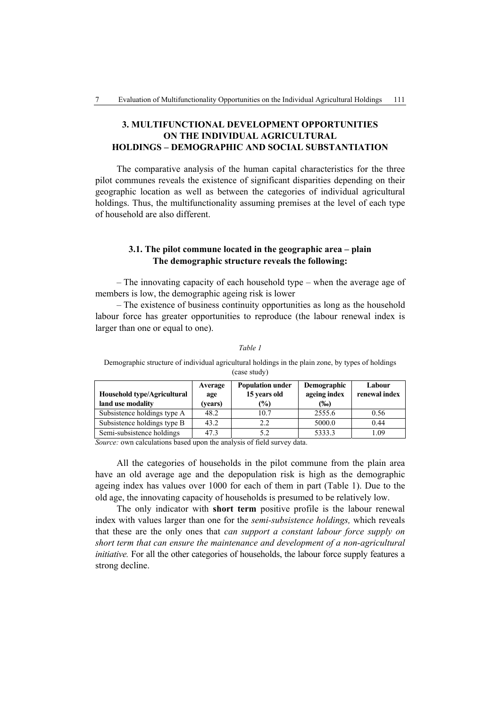# **3. MULTIFUNCTIONAL DEVELOPMENT OPPORTUNITIES ON THE INDIVIDUAL AGRICULTURAL HOLDINGS – DEMOGRAPHIC AND SOCIAL SUBSTANTIATION**

The comparative analysis of the human capital characteristics for the three pilot communes reveals the existence of significant disparities depending on their geographic location as well as between the categories of individual agricultural holdings. Thus, the multifunctionality assuming premises at the level of each type of household are also different.

# **3.1. The pilot commune located in the geographic area – plain The demographic structure reveals the following:**

– The innovating capacity of each household type – when the average age of members is low, the demographic ageing risk is lower

– The existence of business continuity opportunities as long as the household labour force has greater opportunities to reproduce (the labour renewal index is larger than one or equal to one).

| Demographic structure of individual agricultural holdings in the plain zone, by types of holdings<br>(case study)                                         |         |      |         |      |  |  |  |
|-----------------------------------------------------------------------------------------------------------------------------------------------------------|---------|------|---------|------|--|--|--|
| <b>Population under</b><br><b>Demographic</b><br>Labour<br>Average<br>ageing index<br>renewal index<br>15 years old<br>Household type/Agricultural<br>age |         |      |         |      |  |  |  |
| land use modality                                                                                                                                         | (vears) | (%)  | $(\%0)$ |      |  |  |  |
| Subsistence holdings type A                                                                                                                               | 48.2    | 10.7 | 2555.6  | 0.56 |  |  |  |

Subsistence holdings type B  $\begin{array}{|c|c|c|c|c|c|c|c|c|} \hline 43.2 & 2.2 & 5000.0 & 0.44 \hline \end{array}$ Semi-subsistence holdings 47.3 5.2 5333.3 5 1.09

```
Table 1
```
*Source:* own calculations based upon the analysis of field survey data.

All the categories of households in the pilot commune from the plain area have an old average age and the depopulation risk is high as the demographic ageing index has values over 1000 for each of them in part (Table 1). Due to the old age, the innovating capacity of households is presumed to be relatively low.

The only indicator with **short term** positive profile is the labour renewal index with values larger than one for the *semi-subsistence holdings,* which reveals that these are the only ones that *can support a constant labour force supply on short term that can ensure the maintenance and development of a non-agricultural initiative.* For all the other categories of households, the labour force supply features a strong decline.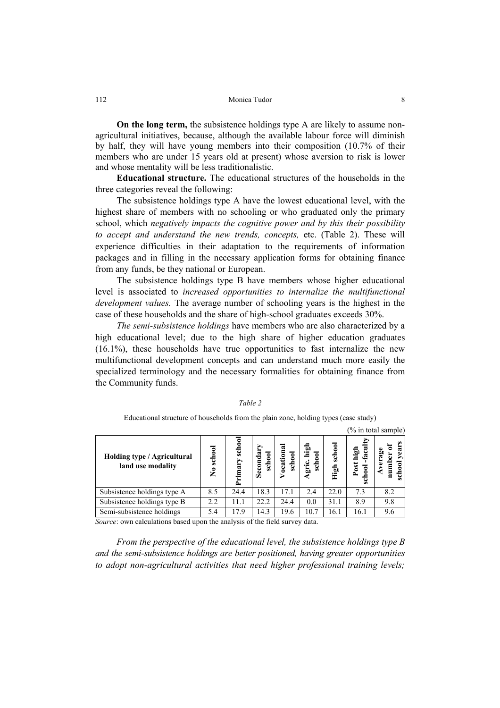**On the long term,** the subsistence holdings type A are likely to assume nonagricultural initiatives, because, although the available labour force will diminish by half, they will have young members into their composition (10.7% of their members who are under 15 years old at present) whose aversion to risk is lower and whose mentality will be less traditionalistic.

**Educational structure.** The educational structures of the households in the three categories reveal the following:

The subsistence holdings type A have the lowest educational level, with the highest share of members with no schooling or who graduated only the primary school, which *negatively impacts the cognitive power and by this their possibility to accept and understand the new trends, concepts,* etc. (Table 2). These will experience difficulties in their adaptation to the requirements of information packages and in filling in the necessary application forms for obtaining finance from any funds, be they national or European.

The subsistence holdings type B have members whose higher educational level is associated to *increased opportunities to internalize the multifunctional development values.* The average number of schooling years is the highest in the case of these households and the share of high-school graduates exceeds 30%.

*The semi-subsistence holdings* have members who are also characterized by a high educational level; due to the high share of higher education graduates (16.1%), these households have true opportunities to fast internalize the new multifunctional development concepts and can understand much more easily the specialized terminology and the necessary formalities for obtaining finance from the Community funds.

|                                |                  |                  |                      |                 |                |                                              | $(\%$ in total sample) |
|--------------------------------|------------------|------------------|----------------------|-----------------|----------------|----------------------------------------------|------------------------|
| school<br>$\tilde{\mathbf{z}}$ | school<br>rimary | school<br>Second | œ<br>school<br>ocati | br<br>Ś<br>gric | school<br>High | high<br>Post<br>$_{\rm{chaol}}$<br><b>SO</b> | verag<br>ÿ,<br>ड<br>రే |
| 8.5                            | 24.4             | 18.3             | 17.1                 | 2.4             | 22.0           | 7.3                                          | 8.2                    |
| 2.2                            | 11.1             | 22.2             | 24.4                 | 0.0             | 31.1           | 8.9                                          | 9.8                    |
| 5.4                            | 17.9             | 14.3             | 19.6                 | 10.7            | 16.1           | 16.1                                         | 9.6                    |
|                                |                  |                  |                      |                 |                |                                              |                        |

*Table 2* 

Educational structure of households from the plain zone, holding types (case study)

*Source*: own calculations based upon the analysis of the field survey data.

*From the perspective of the educational level, the subsistence holdings type B and the semi-subsistence holdings are better positioned, having greater opportunities to adopt non-agricultural activities that need higher professional training levels;*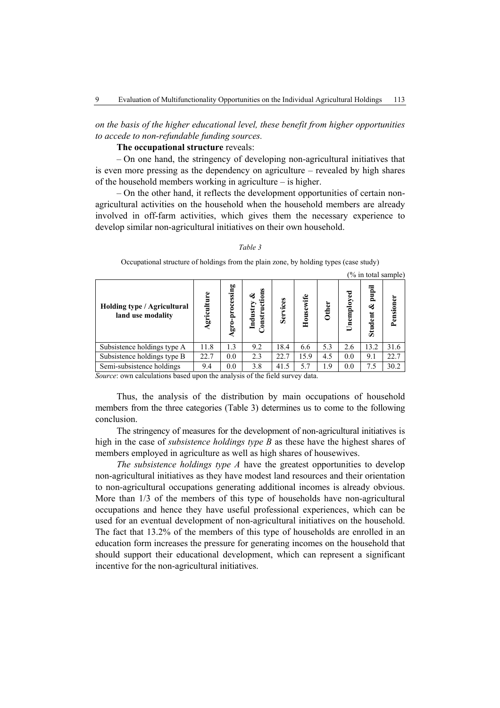*on the basis of the higher educational level, these benefit from higher opportunities to accede to non-refundable funding sources.* 

# **The occupational structure** reveals:

– On one hand, the stringency of developing non-agricultural initiatives that is even more pressing as the dependency on agriculture – revealed by high shares of the household members working in agriculture – is higher.

– On the other hand, it reflects the development opportunities of certain nonagricultural activities on the household when the household members are already involved in off-farm activities, which gives them the necessary experience to develop similar non-agricultural initiatives on their own household.

## *Table 3*

Occupational structure of holdings from the plain zone, by holding types (case study)

|                                                  |                 |                               |                                            |                     |           |              |            |                              | (% in total sample) |
|--------------------------------------------------|-----------------|-------------------------------|--------------------------------------------|---------------------|-----------|--------------|------------|------------------------------|---------------------|
| Holding type / Agricultural<br>land use modality | griculture<br>⋖ | processing<br>$gr_{0-1}$<br>€ | $\mathbf{u}$<br>Industry<br><b>Jonstry</b> | $ce$ s<br>٠Ē<br>Ser | Housewife | <b>Other</b> | Unemployed | pupil<br>ళ<br><b>Student</b> | Pensioner           |
| Subsistence holdings type A                      | 11.8            | 1.3                           | 9.2                                        | 18.4                | 6.6       | 5.3          | 2.6        | 13.2                         | 31.6                |
| Subsistence holdings type B                      | 22.7            | 0.0                           | 2.3                                        | 22.7                | 15.9      | 4.5          | 0.0        | 9.1                          | 22.7                |
| Semi-subsistence holdings                        | 9.4             | 0.0                           | 3.8                                        | 41.5                | 5.7       | 1.9          | 0.0        | 7.5                          | 30.2                |

*Source*: own calculations based upon the analysis of the field survey data.

Thus, the analysis of the distribution by main occupations of household members from the three categories (Table 3) determines us to come to the following conclusion.

The stringency of measures for the development of non-agricultural initiatives is high in the case of *subsistence holdings type B* as these have the highest shares of members employed in agriculture as well as high shares of housewives.

*The subsistence holdings type A* have the greatest opportunities to develop non-agricultural initiatives as they have modest land resources and their orientation to non-agricultural occupations generating additional incomes is already obvious. More than 1/3 of the members of this type of households have non-agricultural occupations and hence they have useful professional experiences, which can be used for an eventual development of non-agricultural initiatives on the household. The fact that 13.2% of the members of this type of households are enrolled in an education form increases the pressure for generating incomes on the household that should support their educational development, which can represent a significant incentive for the non-agricultural initiatives.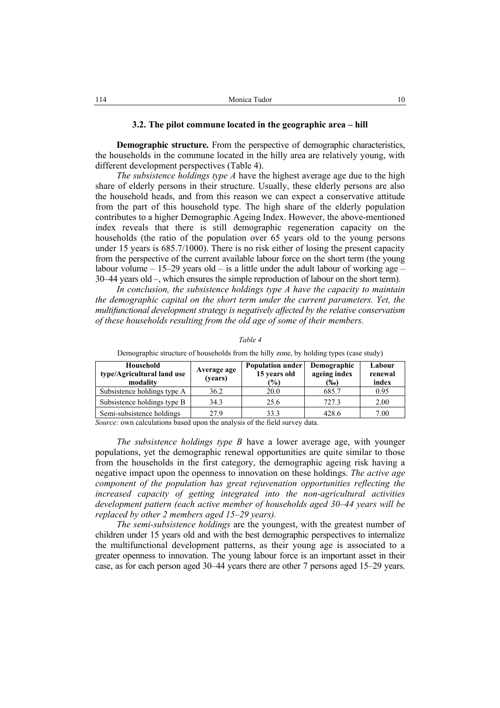**Demographic structure.** From the perspective of demographic characteristics, the households in the commune located in the hilly area are relatively young, with different development perspectives (Table 4).

*The subsistence holdings type A* have the highest average age due to the high share of elderly persons in their structure. Usually, these elderly persons are also the household heads, and from this reason we can expect a conservative attitude from the part of this household type. The high share of the elderly population contributes to a higher Demographic Ageing Index. However, the above-mentioned index reveals that there is still demographic regeneration capacity on the households (the ratio of the population over 65 years old to the young persons under 15 years is 685.7/1000). There is no risk either of losing the present capacity from the perspective of the current available labour force on the short term (the young labour volume  $-15-29$  years old  $-$  is a little under the adult labour of working age  $-$ 30–44 years old –, which ensures the simple reproduction of labour on the short term).

*In conclusion, the subsistence holdings type A have the capacity to maintain the demographic capital on the short term under the current parameters. Yet, the multifunctional development strategy is negatively affected by the relative conservatism of these households resulting from the old age of some of their members.* 

| Household<br>type/Agricultural land use<br>modality | Average age<br>(years) | <b>Population under</b><br>15 years old<br>$\frac{1}{2}$ | Demographic<br>ageing index<br>(‰) | Labour<br>renewal<br>index |
|-----------------------------------------------------|------------------------|----------------------------------------------------------|------------------------------------|----------------------------|
| Subsistence holdings type A                         | 36.2                   | 20.0                                                     | 685.7                              | 0.95                       |
| Subsistence holdings type B                         | 34.3                   | 25.6                                                     | 727.3                              | 2.00                       |
| Semi-subsistence holdings                           | 27.9                   | 33.3                                                     | 428.6                              | 7.00                       |

*Table 4* 

Demographic structure of households from the hilly zone, by holding types (case study)

*Source:* own calculations based upon the analysis of the field survey data.

*The subsistence holdings type B* have a lower average age, with younger populations, yet the demographic renewal opportunities are quite similar to those from the households in the first category, the demographic ageing risk having a negative impact upon the openness to innovation on these holdings. *The active age component of the population has great rejuvenation opportunities reflecting the increased capacity of getting integrated into the non-agricultural activities development pattern (each active member of households aged 30–44 years will be replaced by other 2 members aged 15–29 years).* 

*The semi-subsistence holdings* are the youngest, with the greatest number of children under 15 years old and with the best demographic perspectives to internalize the multifunctional development patterns, as their young age is associated to a greater openness to innovation. The young labour force is an important asset in their case, as for each person aged 30–44 years there are other 7 persons aged 15–29 years.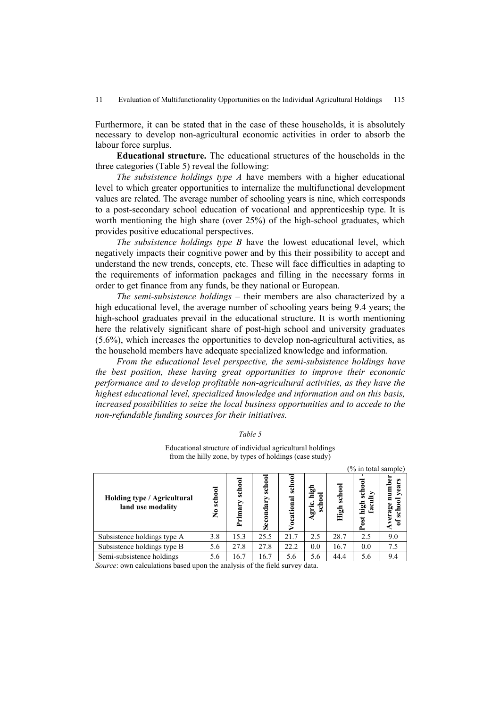Furthermore, it can be stated that in the case of these households, it is absolutely necessary to develop non-agricultural economic activities in order to absorb the labour force surplus.

**Educational structure.** The educational structures of the households in the three categories (Table 5) reveal the following:

*The subsistence holdings type A* have members with a higher educational level to which greater opportunities to internalize the multifunctional development values are related. The average number of schooling years is nine, which corresponds to a post-secondary school education of vocational and apprenticeship type. It is worth mentioning the high share (over 25%) of the high-school graduates, which provides positive educational perspectives.

*The subsistence holdings type B* have the lowest educational level, which negatively impacts their cognitive power and by this their possibility to accept and understand the new trends, concepts, etc. These will face difficulties in adapting to the requirements of information packages and filling in the necessary forms in order to get finance from any funds, be they national or European.

*The semi-subsistence holdings* – their members are also characterized by a high educational level, the average number of schooling years being 9.4 years; the high-school graduates prevail in the educational structure. It is worth mentioning here the relatively significant share of post-high school and university graduates (5.6%), which increases the opportunities to develop non-agricultural activities, as the household members have adequate specialized knowledge and information.

*From the educational level perspective, the semi-subsistence holdings have the best position, these having great opportunities to improve their economic performance and to develop profitable non-agricultural activities, as they have the highest educational level, specialized knowledge and information and on this basis, increased possibilities to seize the local business opportunities and to accede to the non-refundable funding sources for their initiatives.* 

*Table 5* 

Educational structure of individual agricultural holdings from the hilly zone, by types of holdings (case study)

(% in total sample)

| Holding type / Agricultural<br>land use modality | school<br>$\tilde{\mathbf{z}}$ | school<br>Primary | ट्ट<br>œ<br>ಹಿ | schoo<br>tional<br>ន | 뭅<br>ទី<br>Agri | school<br>High | scho<br>high<br>ca)<br><b>St</b> | ēφ  |
|--------------------------------------------------|--------------------------------|-------------------|----------------|----------------------|-----------------|----------------|----------------------------------|-----|
| Subsistence holdings type A                      | 3.8                            | 15.3              | 25.5           | 21.7                 | 2.5             | 28.7           | 2.5                              | 9.0 |
| Subsistence holdings type B                      | 5.6                            | 27.8              | 27.8           | 22.2                 | 0.0             | 16.7           | 0.0                              | 7.5 |
| Semi-subsistence holdings                        | 5.6                            | 16.7              | 16.7           | 5.6                  | 5.6             | 44.4           | 5.6                              | 9.4 |

*Source*: own calculations based upon the analysis of the field survey data.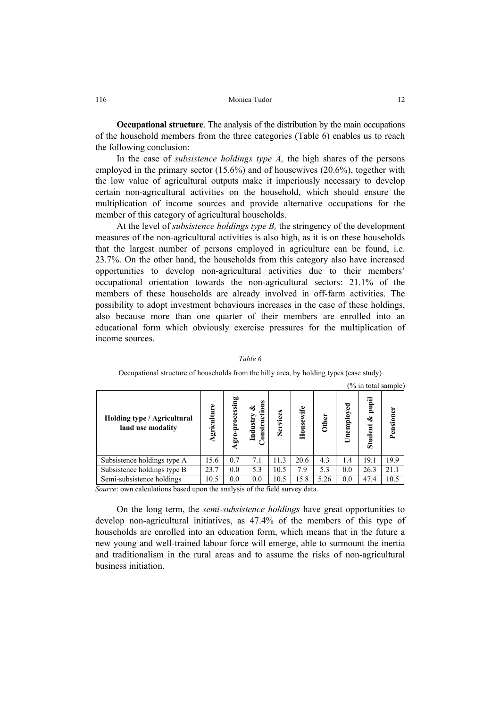**Occupational structure**. The analysis of the distribution by the main occupations of the household members from the three categories (Table 6) enables us to reach the following conclusion:

In the case of *subsistence holdings type A,* the high shares of the persons employed in the primary sector (15.6%) and of housewives (20.6%), together with the low value of agricultural outputs make it imperiously necessary to develop certain non-agricultural activities on the household, which should ensure the multiplication of income sources and provide alternative occupations for the member of this category of agricultural households.

At the level of *subsistence holdings type B,* the stringency of the development measures of the non-agricultural activities is also high, as it is on these households that the largest number of persons employed in agriculture can be found, i.e. 23.7%. On the other hand, the households from this category also have increased opportunities to develop non-agricultural activities due to their members' occupational orientation towards the non-agricultural sectors: 21.1% of the members of these households are already involved in off-farm activities. The possibility to adopt investment behaviours increases in the case of these holdings, also because more than one quarter of their members are enrolled into an educational form which obviously exercise pressures for the multiplication of income sources.

|                                                  |             |                 |                                 |          |           |              |            |                       | $(\%$ in total sample) |
|--------------------------------------------------|-------------|-----------------|---------------------------------|----------|-----------|--------------|------------|-----------------------|------------------------|
| Holding type / Agricultural<br>land use modality | Agriculture | Agro-processing | Constructions<br>ಟಿ<br>Industry | Services | Housewife | <b>Other</b> | Unemployed | pupil<br>ళ<br>Student | Pensioner              |
| Subsistence holdings type A                      | 15.6        | 0.7             | 7.1                             | 11.3     | 20.6      | 4.3          | 1.4        | 19.1                  | 19.9                   |
| Subsistence holdings type B                      | 23.7        | 0.0             | 5.3                             | 10.5     | 7.9       | 5.3          | 0.0        | 26.3                  | 21.1                   |
| Semi-subsistence holdings                        | 10.5        | 0.0             | 0.0                             | 10.5     | 15.8      | 5.26         | 0.0        | 47.4                  | 10.5                   |

### *Table 6*

# Occupational structure of households from the hilly area, by holding types (case study)

*Source*: own calculations based upon the analysis of the field survey data.

On the long term, the *semi-subsistence holdings* have great opportunities to develop non-agricultural initiatives, as 47.4% of the members of this type of households are enrolled into an education form, which means that in the future a new young and well-trained labour force will emerge, able to surmount the inertia and traditionalism in the rural areas and to assume the risks of non-agricultural business initiation.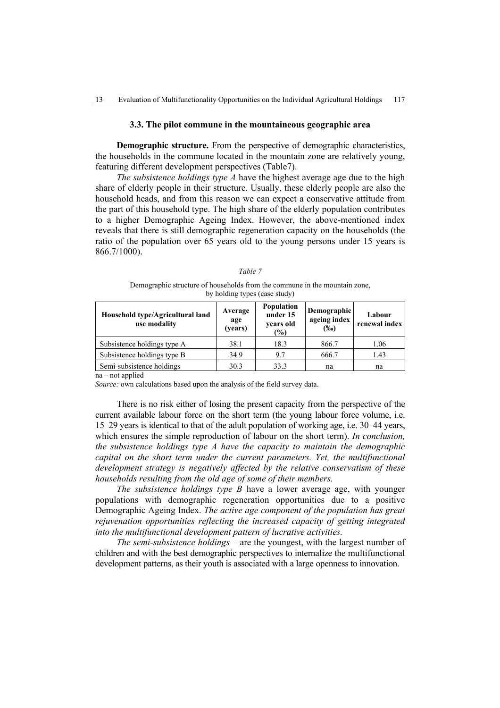## **3.3. The pilot commune in the mountaineous geographic area**

**Demographic structure.** From the perspective of demographic characteristics, the households in the commune located in the mountain zone are relatively young, featuring different development perspectives (Table7).

*The subsistence holdings type A* have the highest average age due to the high share of elderly people in their structure. Usually, these elderly people are also the household heads, and from this reason we can expect a conservative attitude from the part of this household type. The high share of the elderly population contributes to a higher Demographic Ageing Index. However, the above-mentioned index reveals that there is still demographic regeneration capacity on the households (the ratio of the population over 65 years old to the young persons under 15 years is 866.7/1000).

|--|--|

Demographic structure of households from the commune in the mountain zone, by holding types (case study)

| Household type/Agricultural land<br>use modality | Average<br>age<br>(years) | Population<br>under 15<br>years old<br>(%) | Demographic<br>ageing index<br>(%o) | Labour<br>renewal index |
|--------------------------------------------------|---------------------------|--------------------------------------------|-------------------------------------|-------------------------|
| Subsistence holdings type A                      | 38.1                      | 18.3                                       | 866.7                               | 1.06                    |
| Subsistence holdings type B                      | 34.9                      | 9.7                                        | 666.7                               | 1.43                    |
| Semi-subsistence holdings                        | 30.3                      | 33.3                                       | na                                  | na                      |

na – not applied

*Source:* own calculations based upon the analysis of the field survey data.

There is no risk either of losing the present capacity from the perspective of the current available labour force on the short term (the young labour force volume, i.e. 15–29 years is identical to that of the adult population of working age, i.e. 30–44 years, which ensures the simple reproduction of labour on the short term). *In conclusion, the subsistence holdings type A have the capacity to maintain the demographic capital on the short term under the current parameters. Yet, the multifunctional development strategy is negatively affected by the relative conservatism of these households resulting from the old age of some of their members.*

*The subsistence holdings type B* have a lower average age, with younger populations with demographic regeneration opportunities due to a positive Demographic Ageing Index. *The active age component of the population has great rejuvenation opportunities reflecting the increased capacity of getting integrated into the multifunctional development pattern of lucrative activities.* 

*The semi-subsistence holdings –* are the youngest, with the largest number of children and with the best demographic perspectives to internalize the multifunctional development patterns, as their youth is associated with a large openness to innovation.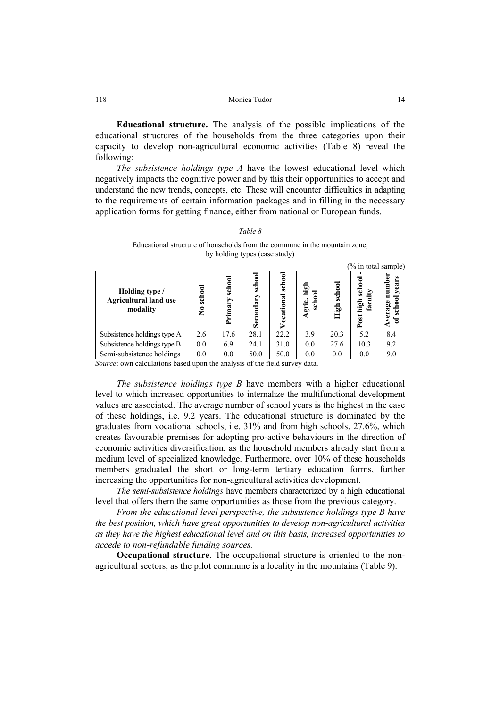**Educational structure.** The analysis of the possible implications of the educational structures of the households from the three categories upon their capacity to develop non-agricultural economic activities (Table 8) reveal the following:

*The subsistence holdings type A* have the lowest educational level which negatively impacts the cognitive power and by this their opportunities to accept and understand the new trends, concepts, etc. These will encounter difficulties in adapting to the requirements of certain information packages and in filling in the necessary application forms for getting finance, either from national or European funds.

### *Table 8*

## Educational structure of households from the commune in the mountain zone, by holding types (case study)

| Holding type /<br><b>Agricultural land use</b><br>modality | school<br>$\tilde{\mathbf{z}}$ | school<br>Primary | school<br>Secondar | schoo<br>द्ध<br>Ξ<br>÷<br>ឨ | ъù<br>scho<br>Ë | school<br>High | schoo<br>D<br>high<br>fac<br>Post | ω<br>umb<br>yea<br>erage<br>$\bullet$<br>చే<br>Ō |
|------------------------------------------------------------|--------------------------------|-------------------|--------------------|-----------------------------|-----------------|----------------|-----------------------------------|--------------------------------------------------|
| Subsistence holdings type A                                | 2.6                            | 17.6              | 28.1               | 22.2                        | 3.9             | 20.3           | 5.2                               | 8.4                                              |
| Subsistence holdings type B                                | 0.0                            | 6.9               | 24.1               | 31.0                        | 0.0             | 27.6           | 10.3                              | 9.2                                              |
| Semi-subsistence holdings                                  | 0.0                            | 0.0               | 50.0               | 50.0                        | 0.0             | 0.0            | 0.0                               | 9.0                                              |

*Source*: own calculations based upon the analysis of the field survey data.

*The subsistence holdings type B* have members with a higher educational level to which increased opportunities to internalize the multifunctional development values are associated. The average number of school years is the highest in the case of these holdings, i.e. 9.2 years. The educational structure is dominated by the graduates from vocational schools, i.e. 31% and from high schools, 27.6%, which creates favourable premises for adopting pro-active behaviours in the direction of economic activities diversification, as the household members already start from a medium level of specialized knowledge. Furthermore, over 10% of these households members graduated the short or long-term tertiary education forms, further increasing the opportunities for non-agricultural activities development.

*The semi-subsistence holdings* have members characterized by a high educational level that offers them the same opportunities as those from the previous category.

*From the educational level perspective, the subsistence holdings type B have the best position, which have great opportunities to develop non-agricultural activities as they have the highest educational level and on this basis, increased opportunities to accede to non-refundable funding sources.* 

**Occupational structure**. The occupational structure is oriented to the nonagricultural sectors, as the pilot commune is a locality in the mountains (Table 9).

(% in total sample)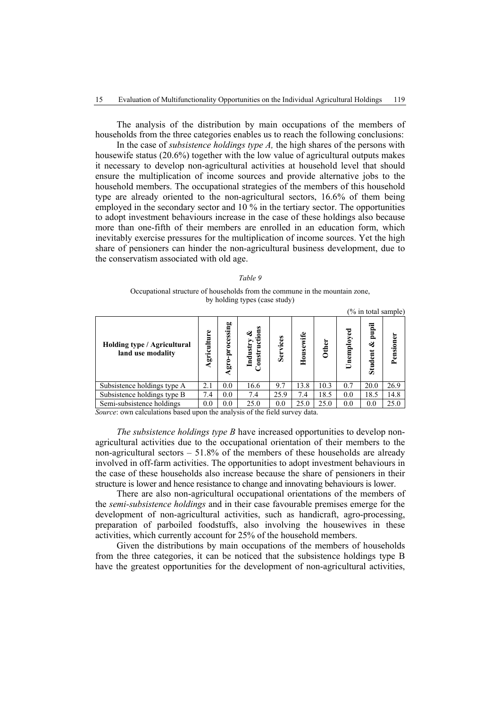The analysis of the distribution by main occupations of the members of households from the three categories enables us to reach the following conclusions:

In the case of *subsistence holdings type A,* the high shares of the persons with housewife status (20.6%) together with the low value of agricultural outputs makes it necessary to develop non-agricultural activities at household level that should ensure the multiplication of income sources and provide alternative jobs to the household members. The occupational strategies of the members of this household type are already oriented to the non-agricultural sectors, 16.6% of them being employed in the secondary sector and 10 % in the tertiary sector. The opportunities to adopt investment behaviours increase in the case of these holdings also because more than one-fifth of their members are enrolled in an education form, which inevitably exercise pressures for the multiplication of income sources. Yet the high share of pensioners can hinder the non-agricultural business development, due to the conservatism associated with old age.

| an<br>ı |
|---------|
|---------|

Occupational structure of households from the commune in the mountain zone, by holding types (case study)

|                                                  |                 |                |                                           |          |           |              |            | (% in total sample)   |           |
|--------------------------------------------------|-----------------|----------------|-------------------------------------------|----------|-----------|--------------|------------|-----------------------|-----------|
| Holding type / Agricultural<br>land use modality | Φ<br>griculture | gro-processing | tions<br>తక<br>Industry<br>ថ្ន<br>Constru | Services | Housewife | <b>Other</b> | Unemployed | pupil<br>త<br>Student | Pensioner |
| Subsistence holdings type A                      | 2.1             | 0.0            | 16.6                                      | 9.7      | 13.8      | 10.3         | 0.7        | 20.0                  | 26.9      |
| Subsistence holdings type B                      | 7.4             | 0.0            | 7.4                                       | 25.9     | 7.4       | 18.5         | 0.0        | 18.5                  | 14.8      |
| Semi-subsistence holdings                        | 0.0             | 0.0            | 25.0                                      | 0.0      | 25.0      | 25.0         | 0.0        | 0.0                   | 25.0      |

*Source*: own calculations based upon the analysis of the field survey data.

*The subsistence holdings type B* have increased opportunities to develop nonagricultural activities due to the occupational orientation of their members to the non-agricultural sectors – 51.8% of the members of these households are already involved in off-farm activities. The opportunities to adopt investment behaviours in the case of these households also increase because the share of pensioners in their structure is lower and hence resistance to change and innovating behaviours is lower.

There are also non-agricultural occupational orientations of the members of the *semi-subsistence holdings* and in their case favourable premises emerge for the development of non-agricultural activities, such as handicraft, agro-processing, preparation of parboiled foodstuffs, also involving the housewives in these activities, which currently account for 25% of the household members.

Given the distributions by main occupations of the members of households from the three categories, it can be noticed that the subsistence holdings type B have the greatest opportunities for the development of non-agricultural activities,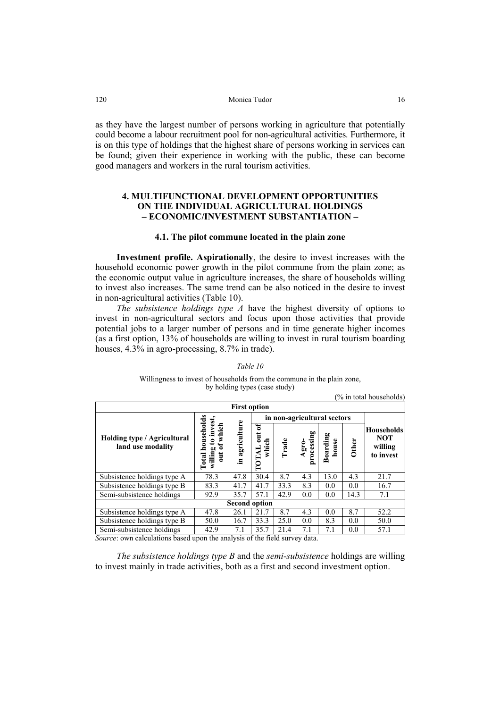as they have the largest number of persons working in agriculture that potentially could become a labour recruitment pool for non-agricultural activities. Furthermore, it is on this type of holdings that the highest share of persons working in services can be found; given their experience in working with the public, these can become good managers and workers in the rural tourism activities.

# **4. MULTIFUNCTIONAL DEVELOPMENT OPPORTUNITIES ON THE INDIVIDUAL AGRICULTURAL HOLDINGS – ECONOMIC/INVESTMENT SUBSTANTIATION –**

### **4.1. The pilot commune located in the plain zone**

**Investment profile. Aspirationally**, the desire to invest increases with the household economic power growth in the pilot commune from the plain zone; as the economic output value in agriculture increases, the share of households willing to invest also increases. The same trend can be also noticed in the desire to invest in non-agricultural activities (Table 10).

*The subsistence holdings type A* have the highest diversity of options to invest in non-agricultural sectors and focus upon those activities that provide potential jobs to a larger number of persons and in time generate higher incomes (as a first option, 13% of households are willing to invest in rural tourism boarding houses, 4.3% in agro-processing, 8.7% in trade).

#### (% in total households) **First option Total households in non-agricultural sectors Total households willing to invest,**  willing to invest, **in agriculture out of which**  in agriculture t of which **TOTAL out of**  ัธ **Households processing**  TOTAL out processing **Boarding Holding type / Agricultural NOT Trade house which Agro-Other land use modality willing**   $\overline{a}$ **to invest**  Subsistence holdings type A 78.3 47.8 30.4 8.7 4.3 13.0 4.3 21.7 Subsistence holdings type B 83.3 41.7 41.7 33.3 8.3 0.0 0.0 16.7<br>Semi-subsistence holdings 92.9 35.7 57.1 42.9 0.0 0.0 14.3 7.1 Semi-subsistence holdings 92.9 35.7 57.1 42.9 0.0 0.0 **Second option**  Subsistence holdings type A 47.8 26.1 21.7 8.7 4.3 0.0 8.7 52.2 Subsistence holdings type B 50.0 16.7 33.3 25.0 0.0 8.3 0.0 50.0<br>Semi-subsistence holdings 42.9 7.1 35.7 21.4 7.1 7.1 0.0 57.1 Semi-subsistence holdings 42.9 7.1 35.7 21.4 7.1 7.1

### *Table 10*

Willingness to invest of households from the commune in the plain zone, by holding types (case study)

*Source*: own calculations based upon the analysis of the field survey data.

*The subsistence holdings type B* and the *semi-subsistence* holdings are willing to invest mainly in trade activities, both as a first and second investment option.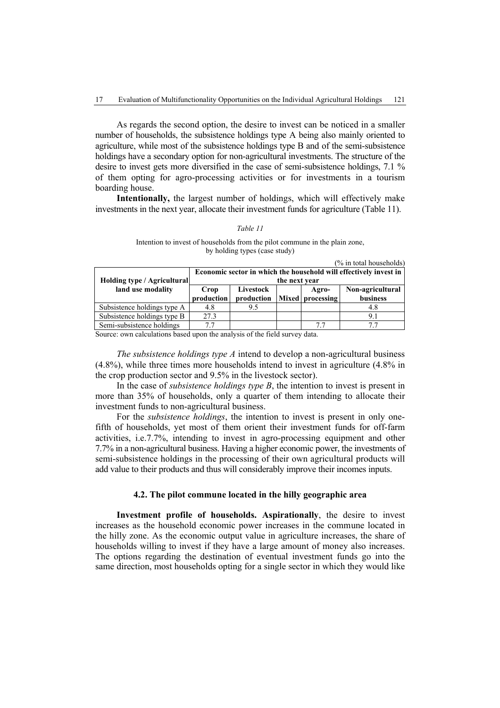As regards the second option, the desire to invest can be noticed in a smaller number of households, the subsistence holdings type A being also mainly oriented to agriculture, while most of the subsistence holdings type B and of the semi-subsistence holdings have a secondary option for non-agricultural investments. The structure of the desire to invest gets more diversified in the case of semi-subsistence holdings, 7.1 % of them opting for agro-processing activities or for investments in a tourism boarding house.

**Intentionally,** the largest number of holdings, which will effectively make investments in the next year, allocate their investment funds for agriculture (Table 11).

### *Table 11*

### Intention to invest of households from the pilot commune in the plain zone, by holding types (case study)

| (% in total households)     |                                                                                    |                         |  |                           |                              |  |  |  |  |  |
|-----------------------------|------------------------------------------------------------------------------------|-------------------------|--|---------------------------|------------------------------|--|--|--|--|--|
| Holding type / Agricultural | Economic sector in which the household will effectively invest in<br>the next year |                         |  |                           |                              |  |  |  |  |  |
| land use modality           | Crop<br>production                                                                 | Livestock<br>production |  | Agro-<br>Mixed processing | Non-agricultural<br>business |  |  |  |  |  |
| Subsistence holdings type A | 4.8                                                                                | 9.5                     |  |                           | 4.8                          |  |  |  |  |  |
| Subsistence holdings type B | 27.3                                                                               |                         |  |                           | 91                           |  |  |  |  |  |
| Semi-subsistence holdings   | 77                                                                                 |                         |  | 77                        |                              |  |  |  |  |  |

Source: own calculations based upon the analysis of the field survey data.

*The subsistence holdings type A* intend to develop a non-agricultural business (4.8%), while three times more households intend to invest in agriculture (4.8% in the crop production sector and 9.5% in the livestock sector).

In the case of *subsistence holdings type B*, the intention to invest is present in more than 35% of households, only a quarter of them intending to allocate their investment funds to non-agricultural business.

For the *subsistence holdings*, the intention to invest is present in only onefifth of households, yet most of them orient their investment funds for off-farm activities, i.e.7.7%, intending to invest in agro-processing equipment and other 7.7% in a non-agricultural business. Having a higher economic power, the investments of semi-subsistence holdings in the processing of their own agricultural products will add value to their products and thus will considerably improve their incomes inputs.

# **4.2. The pilot commune located in the hilly geographic area**

**Investment profile of households. Aspirationally**, the desire to invest increases as the household economic power increases in the commune located in the hilly zone. As the economic output value in agriculture increases, the share of households willing to invest if they have a large amount of money also increases. The options regarding the destination of eventual investment funds go into the same direction, most households opting for a single sector in which they would like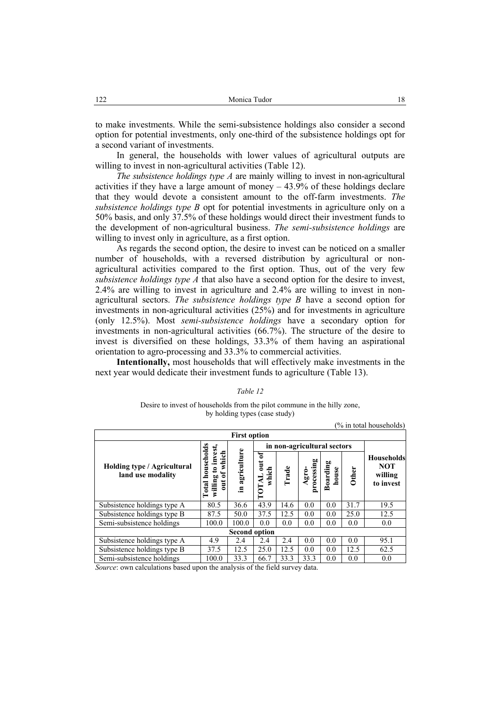to make investments. While the semi-subsistence holdings also consider a second option for potential investments, only one-third of the subsistence holdings opt for a second variant of investments.

In general, the households with lower values of agricultural outputs are willing to invest in non-agricultural activities (Table 12).

*The subsistence holdings type A* are mainly willing to invest in non-agricultural activities if they have a large amount of money  $-43.9\%$  of these holdings declare that they would devote a consistent amount to the off-farm investments. *The subsistence holdings type B* opt for potential investments in agriculture only on a 50% basis, and only 37.5% of these holdings would direct their investment funds to the development of non-agricultural business. *The semi-subsistence holdings* are willing to invest only in agriculture, as a first option.

As regards the second option, the desire to invest can be noticed on a smaller number of households, with a reversed distribution by agricultural or nonagricultural activities compared to the first option. Thus, out of the very few *subsistence holdings type A* that also have a second option for the desire to invest, 2.4% are willing to invest in agriculture and 2.4% are willing to invest in nonagricultural sectors. *The subsistence holdings type B* have a second option for investments in non-agricultural activities (25%) and for investments in agriculture (only 12.5%). Most *semi-subsistence holdings* have a secondary option for investments in non-agricultural activities (66.7%). The structure of the desire to invest is diversified on these holdings, 33.3% of them having an aspirational orientation to agro-processing and 33.3% to commercial activities.

**Intentionally,** most households that will effectively make investments in the next year would dedicate their investment funds to agriculture (Table 13).

### *Table 12*

### Desire to invest of households from the pilot commune in the hilly zone, by holding types (case study)

| <b>First option</b>                              |                                               |                   |                                               |       |                     |                   |              |                                                  |
|--------------------------------------------------|-----------------------------------------------|-------------------|-----------------------------------------------|-------|---------------------|-------------------|--------------|--------------------------------------------------|
|                                                  |                                               |                   | in non-agricultural sectors                   |       |                     |                   |              |                                                  |
| Holding type / Agricultural<br>land use modality | useho<br>0<br>≏<br>50<br>willin<br>Ē<br>Total | agriculture<br>Ξ. | of<br>$\overline{a}$<br>which<br><b>TOTAL</b> | Trade | Agro-<br>processing | Boarding<br>house | <b>Other</b> | Households<br><b>NOT</b><br>willing<br>to invest |
| Subsistence holdings type A                      | 80.5                                          | 36.6              | 43.9                                          | 14.6  | 0.0                 | 0.0               | 31.7         | 19.5                                             |
| Subsistence holdings type B                      | 87.5                                          | 50.0              | 37.5                                          | 12.5  | 0.0                 | 0.0               | 25.0         | 12.5                                             |
| Semi-subsistence holdings                        | 100.0                                         | 100.0             | 0.0                                           | 0.0   | 0.0                 | 0.0               | 0.0          | 0.0                                              |
| <b>Second option</b>                             |                                               |                   |                                               |       |                     |                   |              |                                                  |
| Subsistence holdings type A                      | 4.9                                           | 2.4               | 2.4                                           | 2.4   | 0.0                 | 0.0               | 0.0          | 95.1                                             |
| Subsistence holdings type B                      | 37.5                                          | 12.5              | 25.0                                          | 12.5  | 0.0                 | 0.0               | 12.5         | 62.5                                             |
| Semi-subsistence holdings                        | 100.0                                         | 33.3              | 66.7                                          | 33.3  | 33.3                | 0.0               | 0.0          | 0.0                                              |

*Source*: own calculations based upon the analysis of the field survey data.

(% in total households)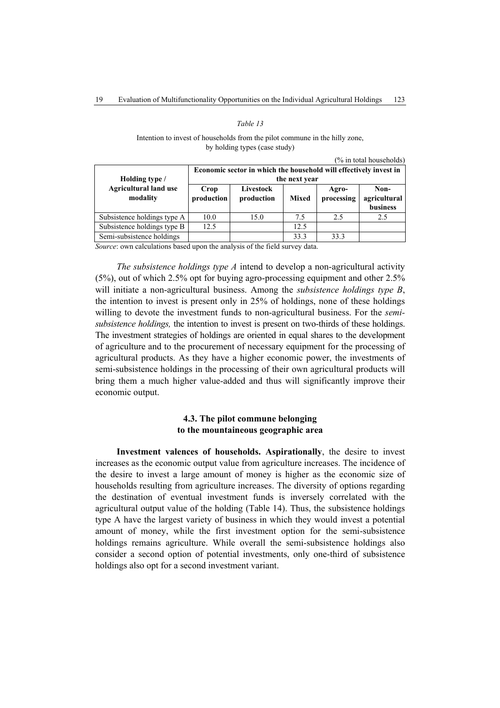### *Table 13*

Intention to invest of households from the pilot commune in the hilly zone, by holding types (case study)

|  |  | (% in total households) |
|--|--|-------------------------|
|--|--|-------------------------|

| Holding type /                           | Economic sector in which the household will effectively invest in<br>the next year |                         |              |                     |                                  |  |  |  |  |
|------------------------------------------|------------------------------------------------------------------------------------|-------------------------|--------------|---------------------|----------------------------------|--|--|--|--|
| <b>Agricultural land use</b><br>modality | Crop<br>production                                                                 | Livestock<br>production | <b>Mixed</b> | Agro-<br>processing | Non-<br>agricultural<br>business |  |  |  |  |
| Subsistence holdings type A              | 10.0                                                                               | 15.0                    | 7.5          | 2.5                 | 2.5                              |  |  |  |  |
| Subsistence holdings type B              | 12.5                                                                               |                         | 12.5         |                     |                                  |  |  |  |  |
| Semi-subsistence holdings                |                                                                                    |                         | 33.3         | 333                 |                                  |  |  |  |  |

*Source*: own calculations based upon the analysis of the field survey data.

*The subsistence holdings type A* intend to develop a non-agricultural activity (5%), out of which 2.5% opt for buying agro-processing equipment and other 2.5% will initiate a non-agricultural business. Among the *subsistence holdings type B*, the intention to invest is present only in 25% of holdings, none of these holdings willing to devote the investment funds to non-agricultural business. For the *semisubsistence holdings,* the intention to invest is present on two-thirds of these holdings. The investment strategies of holdings are oriented in equal shares to the development of agriculture and to the procurement of necessary equipment for the processing of agricultural products. As they have a higher economic power, the investments of semi-subsistence holdings in the processing of their own agricultural products will bring them a much higher value-added and thus will significantly improve their economic output.

# **4.3. The pilot commune belonging to the mountaineous geographic area**

**Investment valences of households. Aspirationally**, the desire to invest increases as the economic output value from agriculture increases. The incidence of the desire to invest a large amount of money is higher as the economic size of households resulting from agriculture increases. The diversity of options regarding the destination of eventual investment funds is inversely correlated with the agricultural output value of the holding (Table 14). Thus, the subsistence holdings type A have the largest variety of business in which they would invest a potential amount of money, while the first investment option for the semi-subsistence holdings remains agriculture. While overall the semi-subsistence holdings also consider a second option of potential investments, only one-third of subsistence holdings also opt for a second investment variant.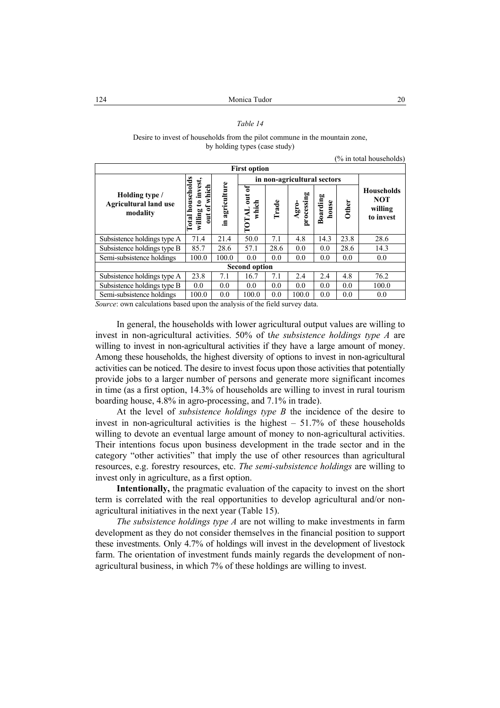## *Table 14*

Desire to invest of households from the pilot commune in the mountain zone, by holding types (case study)

(% in total households)

| <b>First option</b>                                        |                                                                            |                   |                                               |       |                    |                   |              |                                                         |
|------------------------------------------------------------|----------------------------------------------------------------------------|-------------------|-----------------------------------------------|-------|--------------------|-------------------|--------------|---------------------------------------------------------|
|                                                            | $\bullet$                                                                  |                   | in non-agricultural sectors                   |       |                    |                   |              |                                                         |
| Holding type /<br><b>Agricultural land use</b><br>modality | to invest<br>sehold<br>of which<br>mou<br>willing<br>$\frac{1}{2}$<br>otal | agriculture<br>≘. | of<br>$\overline{u}$<br>which<br><b>LATOT</b> | Trade | processing<br>Agro | Boarding<br>house | <b>Other</b> | <b>Households</b><br><b>NOT</b><br>willing<br>to invest |
| Subsistence holdings type A                                | 71.4                                                                       | 21.4              | 50.0                                          | 7.1   | 4.8                | 14.3              | 23.8         | 28.6                                                    |
| Subsistence holdings type B                                | 85.7                                                                       | 28.6              | 57.1                                          | 28.6  | 0.0                | 0.0               | 28.6         | 14.3                                                    |
| Semi-subsistence holdings                                  | 100.0                                                                      | 100.0             | 0.0                                           | 0.0   | 0.0                | 0.0               | 0.0          | 0.0                                                     |
| <b>Second option</b>                                       |                                                                            |                   |                                               |       |                    |                   |              |                                                         |
| Subsistence holdings type A                                | 23.8                                                                       | 7.1               | 16.7                                          | 7.1   | 2.4                | 2.4               | 4.8          | 76.2                                                    |
| Subsistence holdings type B                                | 0.0                                                                        | 0.0               | 0.0                                           | 0.0   | 0.0                | 0.0               | 0.0          | 100.0                                                   |
| Semi-subsistence holdings                                  | 100.0                                                                      | 0.0               | 100.0                                         | 0.0   | 100.0              | 0.0               | 0.0          | 0.0                                                     |

*Source*: own calculations based upon the analysis of the field survey data.

In general, the households with lower agricultural output values are willing to invest in non-agricultural activities. 50% of t*he subsistence holdings type A* are willing to invest in non-agricultural activities if they have a large amount of money. Among these households, the highest diversity of options to invest in non-agricultural activities can be noticed. The desire to invest focus upon those activities that potentially provide jobs to a larger number of persons and generate more significant incomes in time (as a first option, 14.3% of households are willing to invest in rural tourism boarding house, 4.8% in agro-processing, and 7.1% in trade).

At the level of *subsistence holdings type B* the incidence of the desire to invest in non-agricultural activities is the highest – 51.7% of these households willing to devote an eventual large amount of money to non-agricultural activities. Their intentions focus upon business development in the trade sector and in the category "other activities" that imply the use of other resources than agricultural resources, e.g. forestry resources, etc. *The semi-subsistence holdings* are willing to invest only in agriculture, as a first option.

**Intentionally,** the pragmatic evaluation of the capacity to invest on the short term is correlated with the real opportunities to develop agricultural and/or nonagricultural initiatives in the next year (Table 15).

*The subsistence holdings type A* are not willing to make investments in farm development as they do not consider themselves in the financial position to support these investments. Only 4.7% of holdings will invest in the development of livestock farm. The orientation of investment funds mainly regards the development of nonagricultural business, in which 7% of these holdings are willing to invest.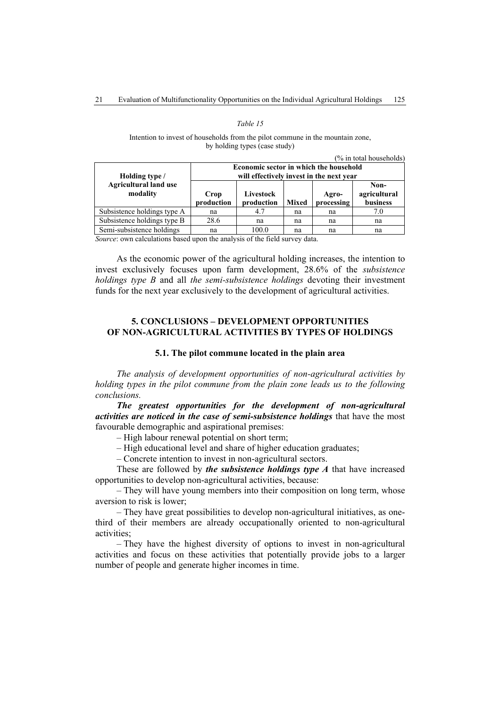### *Table 15*

Intention to invest of households from the pilot commune in the mountain zone, by holding types (case study)

| $(\%$ in total households)               |                                                                                    |                                      |              |                     |                                  |  |  |
|------------------------------------------|------------------------------------------------------------------------------------|--------------------------------------|--------------|---------------------|----------------------------------|--|--|
| Holding type /                           | Economic sector in which the household<br>will effectively invest in the next year |                                      |              |                     |                                  |  |  |
| <b>Agricultural land use</b><br>modality | Crop<br>production                                                                 | Livestock<br>production              | <b>Mixed</b> | Agro-<br>processing | Non-<br>agricultural<br>business |  |  |
| Subsistence holdings type A              | na                                                                                 | 4.7                                  | na           | na                  | 7.0                              |  |  |
| Subsistence holdings type B              | 28.6                                                                               | na                                   | na           | na                  | na                               |  |  |
| Semi-subsistence holdings                | na                                                                                 | 100.0<br>$\sim$ $\sim$ $\sim$ $\sim$ | na           | na                  | na                               |  |  |

*Source*: own calculations based upon the analysis of the field survey data.

As the economic power of the agricultural holding increases, the intention to invest exclusively focuses upon farm development, 28.6% of the *subsistence holdings type B* and all *the semi-subsistence holdings* devoting their investment funds for the next year exclusively to the development of agricultural activities.

# **5. CONCLUSIONS – DEVELOPMENT OPPORTUNITIES OF NON-AGRICULTURAL ACTIVITIES BY TYPES OF HOLDINGS**

## **5.1. The pilot commune located in the plain area**

*The analysis of development opportunities of non-agricultural activities by holding types in the pilot commune from the plain zone leads us to the following conclusions.* 

*The greatest opportunities for the development of non-agricultural activities are noticed in the case of semi-subsistence holdings* that have the most favourable demographic and aspirational premises:

– High labour renewal potential on short term;

– High educational level and share of higher education graduates;

– Concrete intention to invest in non-agricultural sectors.

These are followed by *the subsistence holdings type A* that have increased opportunities to develop non-agricultural activities, because:

– They will have young members into their composition on long term, whose aversion to risk is lower;

– They have great possibilities to develop non-agricultural initiatives, as onethird of their members are already occupationally oriented to non-agricultural activities;

– They have the highest diversity of options to invest in non-agricultural activities and focus on these activities that potentially provide jobs to a larger number of people and generate higher incomes in time.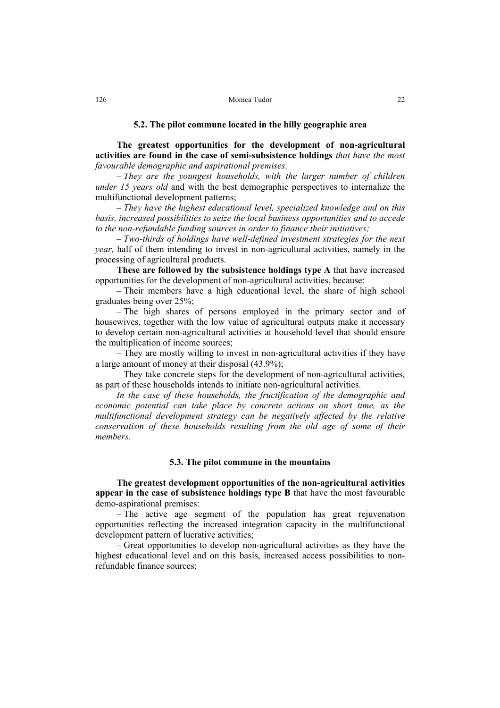# **5.2. The pilot commune located in the hilly geographic area**

**The greatest opportunities for the development of non-agricultural activities are found in the case of semi-subsistence holdings** *that have the most favourable demographic and aspirational premises:* 

– *They are the youngest households, with the larger number of children under 15 years old* and with the best demographic perspectives to internalize the multifunctional development patterns;

– *They have the highest educational level, specialized knowledge and on this basis, increased possibilities to seize the local business opportunities and to accede to the non-refundable funding sources in order to finance their initiatives;* 

– *Two-thirds of holdings have well-defined investment strategies for the next year,* half of them intending to invest in non-agricultural activities, namely in the processing of agricultural products.

**These are followed by the subsistence holdings type A** that have increased opportunities for the development of non-agricultural activities, because:

– Their members have a high educational level, the share of high school graduates being over 25%;

– The high shares of persons employed in the primary sector and of housewives, together with the low value of agricultural outputs make it necessary to develop certain non-agricultural activities at household level that should ensure the multiplication of income sources;

– They are mostly willing to invest in non-agricultural activities if they have a large amount of money at their disposal (43.9%);

– They take concrete steps for the development of non-agricultural activities, as part of these households intends to initiate non-agricultural activities.

*In the case of these households, the fructification of the demographic and economic potential can take place by concrete actions on short time, as the multifunctional development strategy can be negatively affected by the relative conservatism of these households resulting from the old age of some of their members.* 

## **5.3. The pilot commune in the mountains**

**The greatest development opportunities of the non-agricultural activities appear in the case of subsistence holdings type B** that have the most favourable demo-aspirational premises:

– The active age segment of the population has great rejuvenation opportunities reflecting the increased integration capacity in the multifunctional development pattern of lucrative activities;

– Great opportunities to develop non-agricultural activities as they have the highest educational level and on this basis, increased access possibilities to nonrefundable finance sources;